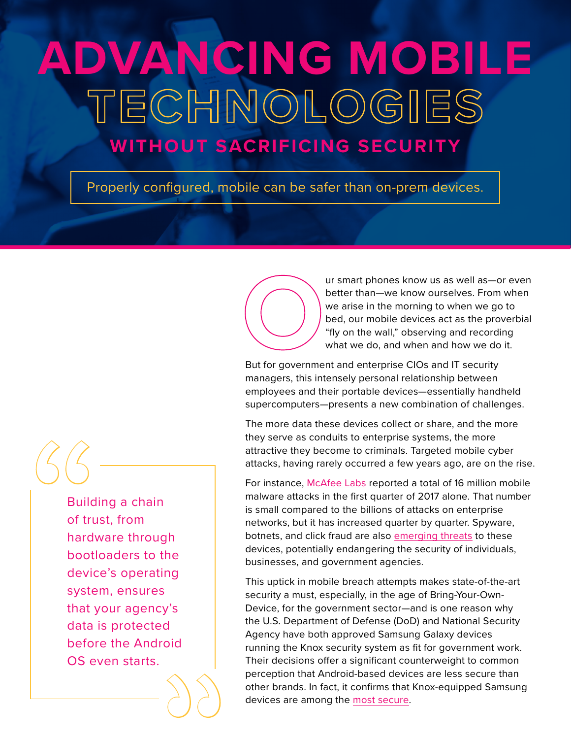# **ADVANCING MOBILE**<br>TECHMOLOGIES

# **WITHOUT SACRIFICING SECURITY**

Properly configured, mobile can be safer than on-prem devices.



ur smart phones know us as well as—or even better than—we know ourselves. From when we arise in the morning to when we go to bed, our mobile devices act as the proverbial "fly on the wall," observing and recording what we do, and when and how we do it.

But for government and enterprise CIOs and IT security managers, this intensely personal relationship between employees and their portable devices—essentially handheld supercomputers—presents a new combination of challenges.

The more data these devices collect or share, and the more they serve as conduits to enterprise systems, the more attractive they become to criminals. Targeted mobile cyber attacks, having rarely occurred a few years ago, are on the rise.

For instance, [McAfee Labs](https://www.mcafee.com/us/resources/reports/rp-quarterly-threats-jun-2017.pdf) reported a total of 16 million mobile malware attacks in the first quarter of 2017 alone. That number is small compared to the billions of attacks on enterprise networks, but it has increased quarter by quarter. Spyware, botnets, and click fraud are also [emerging threats](https://www.csoonline.com/article/2157785/data-protection/five-new-threats-to-your-mobile-security.html) to these devices, potentially endangering the security of individuals, businesses, and government agencies.

This uptick in mobile breach attempts makes state-of-the-art security a must, especially, in the age of Bring-Your-Own-Device, for the government sector—and is one reason why the U.S. Department of Defense (DoD) and National Security Agency have both approved Samsung Galaxy devices running the Knox security system as fit for government work. Their decisions offer a significant counterweight to common perception that Android-based devices are less secure than other brands. In fact, it confirms that Knox-equipped Samsung devices are among the [most secure.](https://insights.samsung.com/2016/04/13/knox-receives-the-most-strong-ratings-of-any-platform-in-gartner-mobile-security-report/)

Building a chain of trust, from hardware through bootloaders to the device's operating system, ensures that your agency's data is protected before the Android OS even starts. "

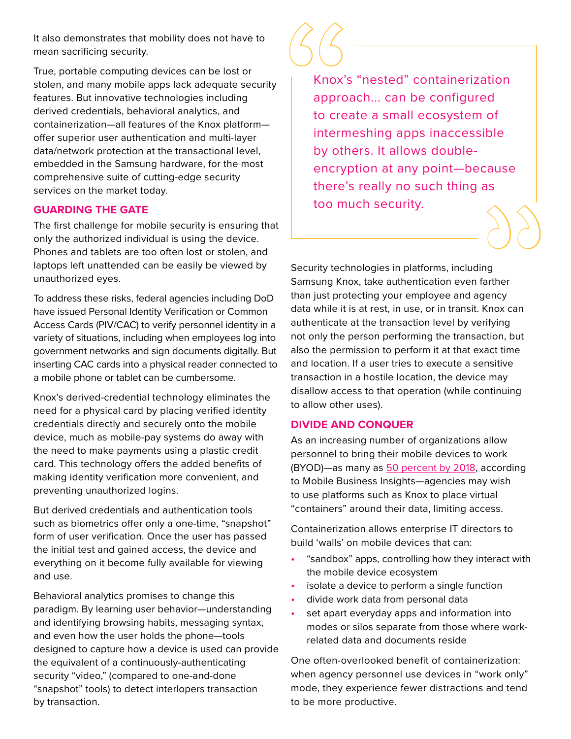It also demonstrates that mobility does not have to mean sacrificing security.

True, portable computing devices can be lost or stolen, and many mobile apps lack adequate security features. But innovative technologies including derived credentials, behavioral analytics, and containerization—all features of the Knox platform offer superior user authentication and multi-layer data/network protection at the transactional level, embedded in the Samsung hardware, for the most comprehensive suite of cutting-edge security services on the market today.

## **GUARDING THE GATE**

The first challenge for mobile security is ensuring that only the authorized individual is using the device. Phones and tablets are too often lost or stolen, and laptops left unattended can be easily be viewed by unauthorized eyes.

To address these risks, federal agencies including DoD have issued Personal Identity Verification or Common Access Cards (PIV/CAC) to verify personnel identity in a variety of situations, including when employees log into government networks and sign documents digitally. But inserting CAC cards into a physical reader connected to a mobile phone or tablet can be cumbersome.

Knox's derived-credential technology eliminates the need for a physical card by placing verified identity credentials directly and securely onto the mobile device, much as mobile-pay systems do away with the need to make payments using a plastic credit card. This technology offers the added benefits of making identity verification more convenient, and preventing unauthorized logins.

But derived credentials and authentication tools such as biometrics offer only a one-time, "snapshot" form of user verification. Once the user has passed the initial test and gained access, the device and everything on it become fully available for viewing and use.

Behavioral analytics promises to change this paradigm. By learning user behavior—understanding and identifying browsing habits, messaging syntax, and even how the user holds the phone—tools designed to capture how a device is used can provide the equivalent of a continuously-authenticating security "video," (compared to one-and-done "snapshot" tools) to detect interlopers transaction by transaction.

88 COM<br>
Knox's<br>
approato creating<br>
to creating<br>
by oth<br>
encryp<br>
there's Knox's "nested" containerization approach... can be configured to create a small ecosystem of intermeshing apps inaccessible by others. It allows doubleencryption at any point—because there's really no such thing as too much security.

Security technologies in platforms, including Samsung Knox, take authentication even farther than just protecting your employee and agency data while it is at rest, in use, or in transit. Knox can authenticate at the transaction level by verifying not only the person performing the transaction, but also the permission to perform it at that exact time and location. If a user tries to execute a sensitive transaction in a hostile location, the device may disallow access to that operation (while continuing to allow other uses).

## **DIVIDE AND CONQUER**

As an increasing number of organizations allow personnel to bring their mobile devices to work (BYOD)—as many as [50 percent by 2018](https://mobilebusinessinsights.com/2017/08/the-latest-byod-trends-and-predictions-from-mobile-focus-to-endpoint-management/), according to Mobile Business Insights—agencies may wish to use platforms such as Knox to place virtual "containers" around their data, limiting access.

Containerization allows enterprise IT directors to build 'walls' on mobile devices that can:

- "sandbox" apps, controlling how they interact with the mobile device ecosystem
- isolate a device to perform a single function
- divide work data from personal data
- set apart everyday apps and information into modes or silos separate from those where workrelated data and documents reside

One often-overlooked benefit of containerization: when agency personnel use devices in "work only" mode, they experience fewer distractions and tend to be more productive.